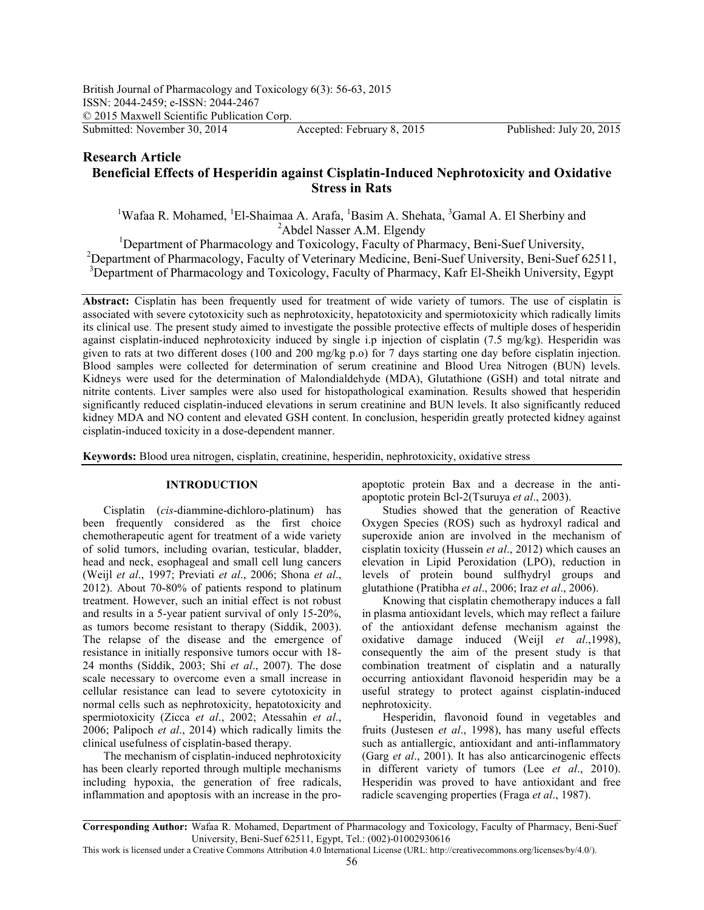# **Research Article** Beneficial Effects of Hesperidin against Cisplatin-Induced Nephrotoxicity and Oxidative **Stress in Rats**

<sup>1</sup>Wafaa R. Mohamed, <sup>1</sup>El-Shaimaa A. Arafa, <sup>1</sup>Basim A. Shehata, <sup>3</sup>Gamal A. El Sherbiny and <sup>2</sup>Abdel Nasser A.M. Elgendy

<sup>1</sup>Department of Pharmacology and Toxicology, Faculty of Pharmacy, Beni-Suef University, <sup>2</sup>Department of Pharmacology, Faculty of Veterinary Medicine, Beni-Suef University, Beni-Suef 62511, <sup>3</sup>Department of Pharmacology and Toxicology, Faculty of Pharmacy, Kafr El-Sheikh University, Egypt

Abstract: Cisplatin has been frequently used for treatment of wide variety of tumors. The use of cisplatin is associated with severe cytotoxicity such as nephrotoxicity, hepatotoxicity and spermiotoxicity which radically limits its clinical use. The present study aimed to investigate the possible protective effects of multiple doses of hesperidin against cisplatin-induced nephrotoxicity induced by single i.p injection of cisplatin  $(7.5 \text{ mg/kg})$ . Hesperidin was given to rats at two different doses (100 and 200 mg/kg p.o) for 7 days starting one day before cisplatin injection. Blood samples were collected for determination of serum creatinine and Blood Urea Nitrogen (BUN) levels. Kidneys were used for the determination of Malondialdehyde (MDA), Glutathione (GSH) and total nitrate and nitrite contents. Liver samples were also used for histopathological examination. Results showed that hesperidin significantly reduced cisplatin-induced elevations in serum creatinine and BUN levels. It also significantly reduced kidney MDA and NO content and elevated GSH content. In conclusion, hesperidin greatly protected kidney against cisplatin-induced toxicity in a dose-dependent manner.

**Keywords:** Blood urea nitrogen, cisplatin, creatinine, hesperidin, nephrotoxicity, oxidative stress

### **INTRODUCTION**

Cisplatin (*cis*-diammine-dichloro-platinum) has been frequently considered as the first choice chemotherapeutic agent for treatment of a wide variety of solid tumors, including ovarian, testicular, bladder, head and neck, esophageal and small cell lung cancers (Weijl *et al.*, 1997; Previati *et al.*, 2006; Shona *et al.*,  $2012$ ). About 70-80% of patients respond to platinum treatment. However, such an initial effect is not robust and results in a 5-year patient survival of only  $15-20\%$ , as tumors become resistant to therapy (Siddik, 2003). The relapse of the disease and the emergence of resistance in initially responsive tumors occur with 18 24 months (Siddik, 2003; Shi *et al.*, 2007). The dose scale necessary to overcome even a small increase in cellular resistance can lead to severe cytotoxicity in normal cells such as nephrotoxicity, hepatotoxicity and spermiotoxicity (Zicca et al., 2002; Atessahin et al., 2006; Palipoch *et al.*, 2014) which radically limits the clinical usefulness of cisplatin-based therapy.

The mechanism of cisplatin-induced nephrotoxicity has been clearly reported through multiple mechanisms including hypoxia, the generation of free radicals, inflammation and apoptosis with an increase in the pro

apoptotic protein Bax and a decrease in the anti apoptotic protein Bcl-2(Tsuruya *et al.*, 2003).

Studies showed that the generation of Reactive Oxygen Species (ROS) such as hydroxyl radical and superoxide anion are involved in the mechanism of cisplatin toxicity (Hussein *et al.*, 2012) which causes an elevation in Lipid Peroxidation (LPO), reduction in levels of protein bound sulfhydryl groups and glutathione (Pratibha et al., 2006; Iraz et al., 2006).

Knowing that cisplatin chemotherapy induces a fall in plasma antioxidant levels, which may reflect a failure of the antioxidant defense mechanism against the oxidative damage induced (Weijl *et al.*, 1998), consequently the aim of the present study is that combination treatment of cisplatin and a naturally occurring antioxidant flavonoid hesperidin may be a useful strategy to protect against cisplatin-induced nephrotoxicity.

Hesperidin, flavonoid found in vegetables and fruits (Justesen *et al.*, 1998), has many useful effects such as antiallergic, antioxidant and anti-inflammatory (Garg *et al.*, 2001). It has also anticarcinogenic effects in different variety of tumors (Lee *et al.*, 2010). Hesperidin was proved to have antioxidant and free radicle scavenging properties (Fraga et al., 1987).

Corresponding Author: Wafaa R. Mohamed, Department of Pharmacology and Toxicology, Faculty of Pharmacy, Beni-Suef University, Beni-Suef 62511, Egypt, Tel.: (002)-01002930616

This work is licensed under a Creative Commons Attribution 4.0 International License (URL: http://creativecommons.org/licenses/by/4.0/).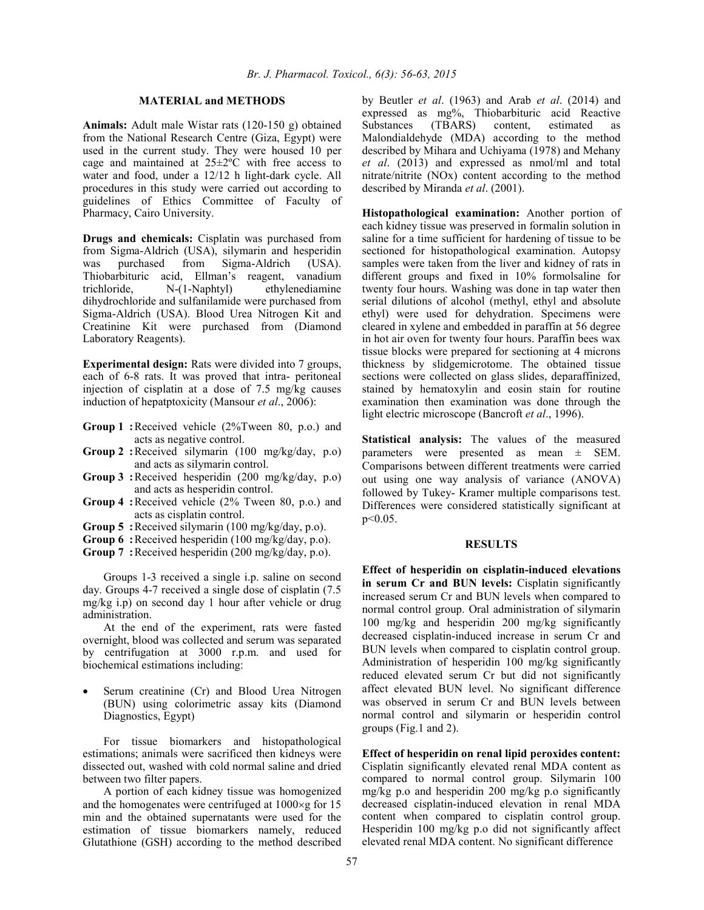## **MATERIAL and METHODS**

Animals: Adult male Wistar rats (120-150 g) obtained from the National Research Centre (Giza, Egypt) were used in the current study. They were housed 10 per cage and maintained at  $25 \pm 2$ °C with free access to water and food, under a  $12/12$  h light-dark cycle. All procedures in this study were carried out according to guidelines of Ethics Committee of Faculty of Pharmacy, Cairo University.

**Drugs and chemicals:** Cisplatin was purchased from from Sigma-Aldrich (USA), silymarin and hesperidin was purchased from Sigma-Aldrich (USA). Thiobarbituric acid, Ellman's reagent, vanadium trichloride, N-(1-Naphtyl) ethylenediamine dihydrochloride and sulfanilamide were purchased from Sigma-Aldrich (USA). Blood Urea Nitrogen Kit and Creatinine Kit were purchased from (Diamond Laboratory Reagents).

**Experimental design:** Rats were divided into 7 groups, each of 6-8 rats. It was proved that intra- peritoneal injection of cisplatin at a dose of 7.5 mg/kg causes induction of hepatptoxicity (Mansour  $et al., 2006$ ):

- **Group 1 :** Received vehicle (2%Tween 80, p.o.) and acts as negative control.
- **Group 2** : Received silymarin (100 mg/kg/day, p.o) and acts as silymarin control.
- **Group 3** : Received hesperidin (200 mg/kg/day, p.o) and acts as hesperidin control.
- **Group 4 : Received vehicle (2% Tween 80, p.o.) and** acts as cisplatin control.
- **Group 5: Received silymarin (100 mg/kg/day, p.o).**
- **Group 6: Received hesperidin (100 mg/kg/day, p.o).**
- **Group 7: Received hesperidin (200 mg/kg/day, p.o).**

Groups 1-3 received a single i.p. saline on second day. Groups 4-7 received a single dose of cisplatin (7.5) mg/kg i.p) on second day 1 hour after vehicle or drug administration.

At the end of the experiment, rats were fasted overnight, blood was collected and serum was separated by centrifugation at 3000 r.p.m. and used for biochemical estimations including:

 Serum creatinine (Cr) and Blood Urea Nitrogen (BUN) using colorimetric assay kits (Diamond Diagnostics, Egypt)

For tissue biomarkers and histopathological estimations; animals were sacrificed then kidneys were dissected out, washed with cold normal saline and dried between two filter papers.

A portion of each kidney tissue was homogenized and the homogenates were centrifuged at  $1000 \times g$  for 15 min and the obtained supernatants were used for the estimation of tissue biomarkers namely, reduced Glutathione (GSH) according to the method described

by Beutler *et al.* (1963) and Arab *et al.* (2014) and expressed as mg%, Thiobarbituric acid Reactive (TBARS) content, estimated as Malondialdehyde (MDA) according to the method described by Mihara and Uchiyama (1978) and Mehany et al. (2013) and expressed as nmol/ml and total nitrate/nitrite (NOx) content according to the method described by Miranda et al. (2001).

Histopathological examination: Another portion of each kidney tissue was preserved in formalin solution in saline for a time sufficient for hardening of tissue to be sectioned for histopathological examination. Autopsy samples were taken from the liver and kidney of rats in different groups and fixed in 10% formolsaline for twenty four hours. Washing was done in tap water then serial dilutions of alcohol (methyl, ethyl and absolute ethyl) were used for dehydration. Specimens were cleared in xylene and embedded in paraffin at 56 degree in hot air oven for twenty four hours. Paraffin bees wax tissue blocks were prepared for sectioning at 4 microns thickness by slidgemicrotome. The obtained tissue sections were collected on glass slides, deparaffinized, stained by hematoxylin and eosin stain for routine examination then examination was done through the light electric microscope (Bancroft *et al.*, 1996).

**Statistical analysis:** The values of the measured parameters were presented as mean ± SEM. Comparisons between different treatments were carried out using one way analysis of variance (ANOVA) followed by Tukey- Kramer multiple comparisons test. Differences were considered statistically significant at p<0.05.

#### **RESULTS**

Effect of hesperidin on cisplatin-induced elevations in serum Cr and BUN levels: Cisplatin significantly increased serum Cr and BUN levels when compared to normal control group. Oral administration of silymarin 100 mg/kg and hesperidin 200 mg/kg significantly decreased cisplatin-induced increase in serum Cr and BUN levels when compared to cisplatin control group. Administration of hesperidin 100 mg/kg significantly reduced elevated serum Cr but did not significantly affect elevated BUN level. No significant difference was observed in serum Cr and BUN levels between normal control and silymarin or hesperidin control groups (Fig.1 and 2).

**Effect of hesperidin on renal lipid peroxides content:** Cisplatin significantly elevated renal MDA content as compared to normal control group. Silymarin 100 mg/kg p.o and hesperidin 200 mg/kg p.o significantly decreased cisplatin-induced elevation in renal MDA content when compared to cisplatin control group. Hesperidin 100 mg/kg p.o did not significantly affect elevated renal MDA content. No significant difference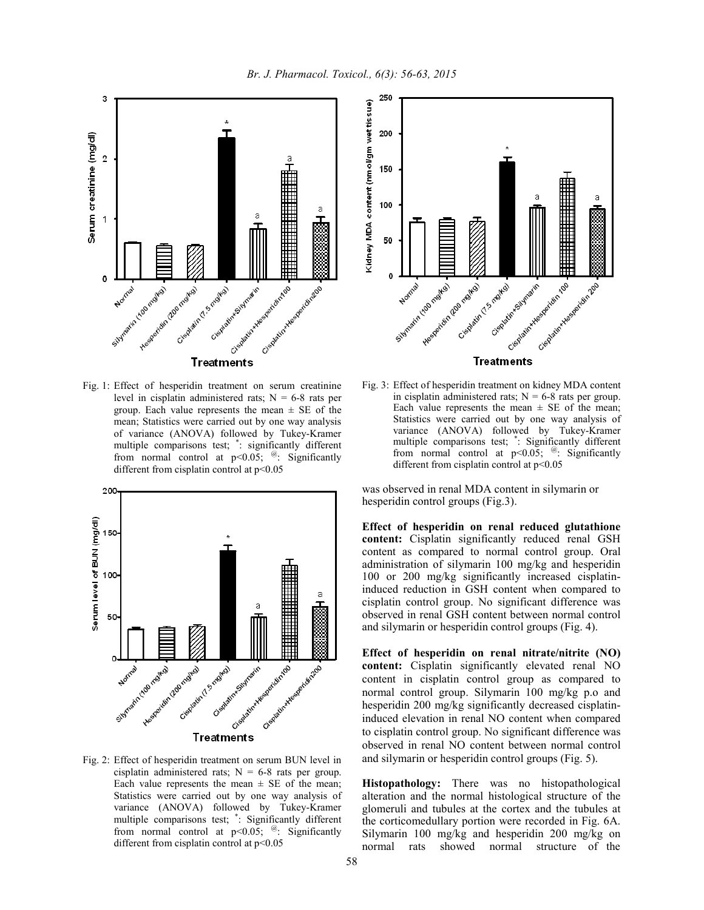

Fig. 1: Effect of hesperidin treatment on serum creatinine level in cisplatin administered rats;  $N = 6-8$  rats per group. Each value represents the mean  $\pm$  SE of the mean; Statistics were carried out by one way analysis of variance (ANOVA) followed by Tukey-Kramer multiple comparisons test; \* : significantly different from normal control at  $p<0.05$ ; @: Significantly different from cisplatin control at  $p<0.05$ 



Fig. 2: Effect of hesperidin treatment on serum BUN level in cisplatin administered rats;  $N = 6-8$  rats per group. Each value represents the mean  $\pm$  SE of the mean; Statistics were carried out by one way analysis of variance (ANOVA) followed by Tukey-Kramer multiple comparisons test; \* : Significantly different from normal control at  $p<0.05$ ; <sup>@</sup>: Significantly different from cisplatin control at  $p<0.05$ 



Fig. 3: Effect of hesperidin treatment on kidney MDA content in cisplatin administered rats;  $N = 6-8$  rats per group. Each value represents the mean  $\pm$  SE of the mean; Statistics were carried out by one way analysis of variance (ANOVA) followed by Tukey-Kramer multiple comparisons test; \* : Significantly different from normal control at  $p<0.05$ ; @: Significantly different from cisplatin control at  $p<0.05$ 

was observed in renal MDA content in silymarin or hesperidin control groups (Fig.3).

Effect of hesperidin on renal reduced glutathione content: Cisplatin significantly reduced renal GSH content as compared to normal control group. Oral administration of silymarin 100 mg/kg and hesperidin 100 or 200 mg/kg significantly increased cisplatin induced reduction in GSH content when compared to cisplatin control group. No significant difference was observed in renal GSH content between normal control and silymarin or hesperidin control groups (Fig. 4).

Effect of hesperidin on renal nitrate/nitrite (NO) **-** Cisplatin significantly elevated renal NO content in cisplatin control group as compared to normal control group. Silymarin 100 mg/kg p.o and hesperidin 200 mg/kg significantly decreased cisplatin induced elevation in renal NO content when compared to cisplatin control group. No significant difference was observed in renal NO content between normal control and silymarin or hesperidin control groups (Fig. 5).

**Histopathology:** There was no histopathological alteration and the normal histological structure of the glomeruli and tubules at the cortex and the tubules at the corticomedullary portion were recorded in Fig. 6A. Silymarin 100 mg/kg and hesperidin 200 mg/kg on normal rats showed normal structure of the normal structure of the

*Br. J. Pharmacol. Toxicol., 6(3): 56-63, 2015*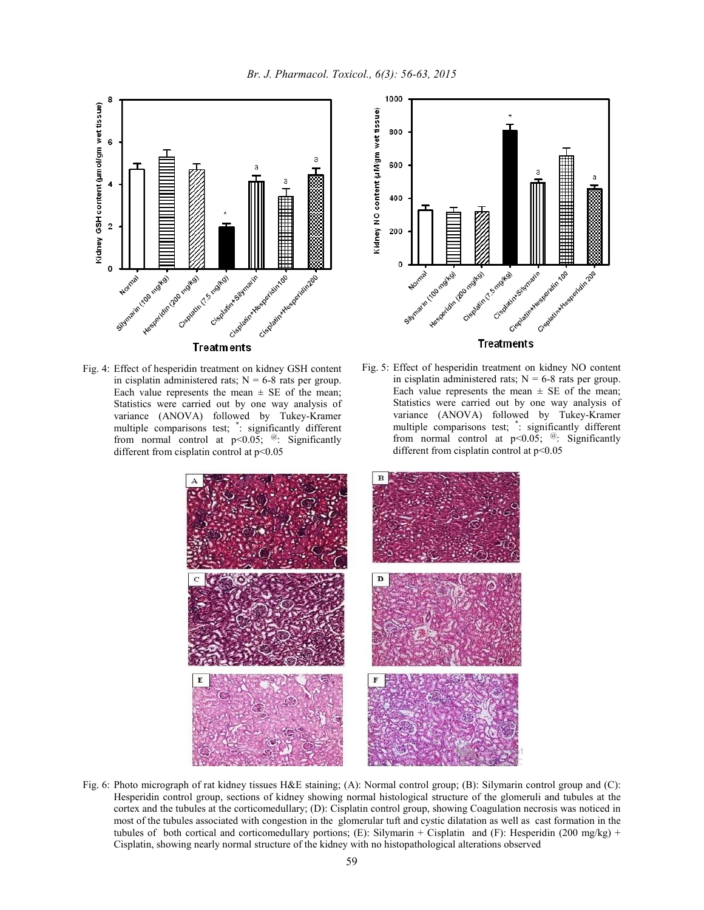



Fig. 4: Effect of hesperidin treatment on kidney GSH content in cisplatin administered rats;  $N = 6-8$  rats per group. Each value represents the mean  $\pm$  SE of the mean; Statistics were carried out by one way analysis of variance (ANOVA) followed by Tukey-Kramer multiple comparisons test; \* : significantly different from normal control at  $p<0.05$ ;  $\omega$ : Significantly different from cisplatin control at  $p<0.05$ 



Fig. 5: Effect of hesperidin treatment on kidney NO content in cisplatin administered rats;  $N = 6-8$  rats per group. Each value represents the mean  $\pm$  SE of the mean; Statistics were carried out by one way analysis of variance (ANOVA) followed by Tukey-Kramer multiple comparisons test; \* : significantly different from normal control at  $p<0.05$ ; @: Significantly different from cisplatin control at  $p<0.05$ 



Fig. 6: Photo micrograph of rat kidney tissues H&E staining; (A): Normal control group; (B): Silymarin control group and (C): Hesperidin control group, sections of kidney showing normal histological structure of the glomeruli and tubules at the cortex and the tubules at the corticomedullary; (D): Cisplatin control group, showing Coagulation necrosis was noticed in most of the tubules associated with congestion in the glomerular tuft and cystic dilatation as well as cast formation in the tubules of both cortical and corticomedullary portions; (E): Silymarin + Cisplatin and (F): Hesperidin (200 mg/kg) + Cisplatin, showing nearly normal structure of the kidney with no histopathological alterations observed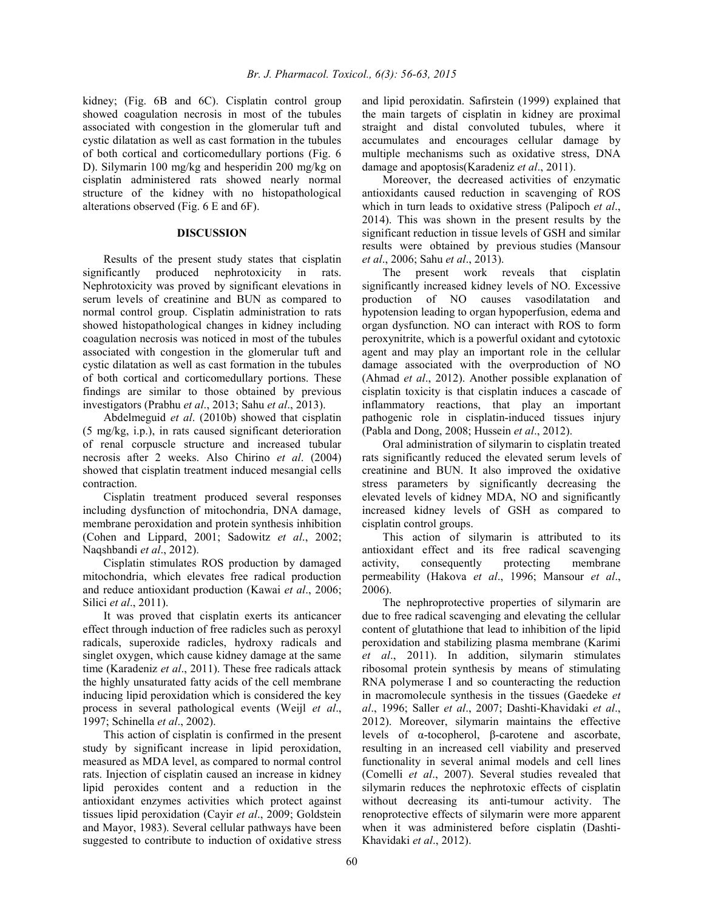kidney; (Fig. 6B and 6C). Cisplatin control group showed coagulation necrosis in most of the tubules associated with congestion in the glomerular tuft and cystic dilatation as well as cast formation in the tubules of both cortical and corticomedullary portions (Fig. 6 D). Silymarin 100 mg/kg and hesperidin 200 mg/kg on cisplatin administered rats showed nearly normal structure of the kidney with no histopathological alterations observed (Fig. 6 E and 6F).

### **DISCUSSION**

Results of the present study states that cisplatin significantly produced nephrotoxicity in rats. Nephrotoxicity was proved by significant elevations in serum levels of creatinine and BUN as compared to normal control group. Cisplatin administration to rats showed histopathological changes in kidney including coagulation necrosis was noticed in most of the tubules associated with congestion in the glomerular tuft and cystic dilatation as well as cast formation in the tubules of both cortical and corticomedullary portions. These findings are similar to those obtained by previous investigators (Prabhu et al., 2013; Sahu et al., 2013).

Abdelmeguid et al. (2010b) showed that cisplatin (5 mg/kg, i.p.), in rats caused significant deterioration of renal corpuscle structure and increased tubular necrosis after 2 weeks. Also Chirino *et al.* (2004) showed that cisplatin treatment induced mesangial cells contraction.

Cisplatin treatment produced several responses including dysfunction of mitochondria, DNA damage, membrane peroxidation and protein synthesis inhibition (Cohen and Lippard, 2001; Sadowitz et al., 2002; Naqshbandi et al., 2012).

Cisplatin stimulates ROS production by damaged mitochondria, which elevates free radical production and reduce antioxidant production (Kawai et al., 2006; Silici et al.,  $2011$ ).

It was proved that cisplatin exerts its anticancer effect through induction of free radicles such as peroxyl radicals, superoxide radicles, hydroxy radicals and singlet oxygen, which cause kidney damage at the same time (Karadeniz et al., 2011). These free radicals attack the highly unsaturated fatty acids of the cell membrane inducing lipid peroxidation which is considered the key process in several pathological events (Weijl *et al.*, 1997; Schinella et al., 2002).

This action of cisplatin is confirmed in the present study by significant increase in lipid peroxidation, measured as MDA level, as compared to normal control rats. Injection of cisplatin caused an increase in kidney lipid peroxides content and a reduction in the antioxidant enzymes activities which protect against tissues lipid peroxidation (Cayir et al., 2009; Goldstein and Mayor, 1983). Several cellular pathways have been suggested to contribute to induction of oxidative stress

and lipid peroxidatin. Safirstein (1999) explained that the main targets of cisplatin in kidney are proximal straight and distal convoluted tubules, where it accumulates and encourages cellular damage by multiple mechanisms such as oxidative stress, DNA damage and apoptosis(Karadeniz *et al.*, 2011).

Moreover, the decreased activities of enzymatic antioxidants caused reduction in scavenging of ROS which in turn leads to oxidative stress (Palipoch  $et al.$ , 2014). This was shown in the present results by the significant reduction in tissue levels of GSH and similar results were obtained by previous studies (Mansour et al., 2006; Sahu et al., 2013).

The present work reveals that cisplatin significantly increased kidney levels of NO. Excessive production of NO causes vasodilatation and hypotension leading to organ hypoperfusion, edema and organ dysfunction. NO can interact with ROS to form peroxynitrite, which is a powerful oxidant and cytotoxic agent and may play an important role in the cellular damage associated with the overproduction of NO (Ahmad *et al.*, 2012). Another possible explanation of cisplatin toxicity is that cisplatin induces a cascade of inflammatory reactions, that play an important pathogenic role in cisplatin-induced tissues injury (Pabla and Dong, 2008; Hussein  $et$   $al., 2012$ ).

Oral administration of silymarin to cisplatin treated rats significantly reduced the elevated serum levels of creatinine and BUN. It also improved the oxidative stress parameters by significantly decreasing the elevated levels of kidney MDA, NO and significantly increased kidney levels of GSH as compared to cisplatin control groups.

This action of silymarin is attributed to its antioxidant effect and its free radical scavenging activity, consequently protecting membrane permeability (Hakova *et al.*, 1996; Mansour *et al.*, 2006).

The nephroprotective properties of silymarin are due to free radical scavenging and elevating the cellular content of glutathione that lead to inhibition of the lipid peroxidation and stabilizing plasma membrane (Karimi et al., 2011). In addition, silymarin stimulates ribosomal protein synthesis by means of stimulating RNA polymerase I and so counteracting the reduction in macromolecule synthesis in the tissues (Gaedeke al., 1996; Saller et al., 2007; Dashti-Khavidaki et al., 2012). Moreover, silymarin maintains the effective levels of  $α$ -tocopherol,  $β$ -carotene and ascorbate, resulting in an increased cell viability and preserved functionality in several animal models and cell lines (Comelli et al., 2007). Several studies revealed that silymarin reduces the nephrotoxic effects of cisplatin without decreasing its anti-tumour activity. The renoprotective effects of silymarin were more apparent when it was administered before cisplatin (Dashti Khavidaki et al., 2012).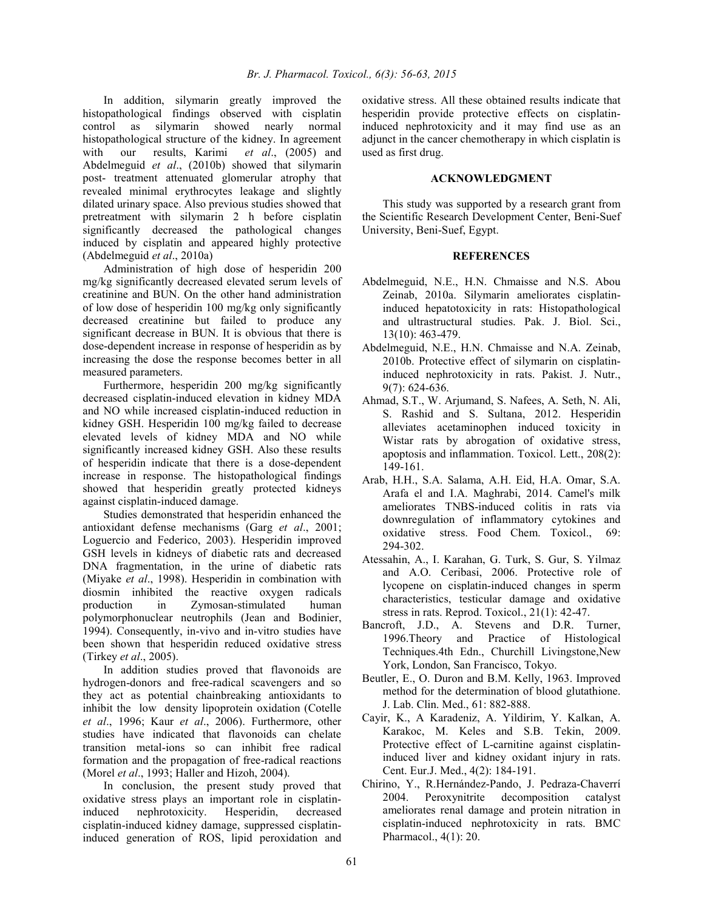In addition, silymarin greatly improved the histopathological findings observed with cisplatin control as silymarin showed nearly normal histopathological structure of the kidney. In agreement with our results, Karimi *et al.*,  $(2005)$  and with our results, Karimi et al., (2005) and Abdelmeguid et al., (2010b) showed that silymarin post- treatment attenuated glomerular atrophy that revealed minimal erythrocytes leakage and slightly dilated urinary space. Also previous studies showed that pretreatment with silymarin 2 h before cisplatin significantly decreased the pathological changes induced by cisplatin and appeared highly protective (Abdelmeguid et al., 2010a)

Administration of high dose of hesperidin 200 mg/kg significantly decreased elevated serum levels of creatinine and BUN. On the other hand administration of low dose of hesperidin 100 mg/kg only significantly decreased creatinine but failed to produce any significant decrease in BUN. It is obvious that there is dose-dependent increase in response of hesperidin as by increasing the dose the response becomes better in all measured parameters.

Furthermore, hesperidin 200 mg/kg significantly decreased cisplatin-induced elevation in kidney MDA and NO while increased cisplatin-induced reduction in kidney GSH. Hesperidin 100 mg/kg failed to decrease elevated levels of kidney MDA and NO while significantly increased kidney GSH. Also these results of hesperidin indicate that there is a dose-dependent increase in response. The histopathological findings showed that hesperidin greatly protected kidneys against cisplatin-induced damage.

Studies demonstrated that hesperidin enhanced the antioxidant defense mechanisms (Garg *et al.*, 2001; Loguercio and Federico, 2003). Hesperidin improved GSH levels in kidneys of diabetic rats and decreased DNA fragmentation, in the urine of diabetic rats (Miyake *et al.*, 1998). Hesperidin in combination with diosmin inhibited the reactive oxygen radicals production in Zymosan-stimulated human polymorphonuclear neutrophils (Jean and Bodinier, 1994). Consequently, in-vivo and in-vitro studies have been shown that hesperidin reduced oxidative stress (Tirkey et al., 2005).

In addition studies proved that flavonoids are hydrogen-donors and free-radical scavengers and so they act as potential chainbreaking antioxidants to inhibit the low density lipoprotein oxidation (Cotelle et al., 1996; Kaur et al., 2006). Furthermore, other studies have indicated that flavonoids can chelate transition metal-ions so can inhibit free radical formation and the propagation of free-radical reactions (Morel *et al.*, 1993; Haller and Hizoh, 2004).

In conclusion, the present study proved that oxidative stress plays an important role in cisplatin induced nephrotoxicity. Hesperidin, decreased cisplatin-induced kidney damage, suppressed cisplatininduced generation of ROS, lipid peroxidation and

oxidative stress. All these obtained results indicate that hesperidin provide protective effects on cisplatin induced nephrotoxicity and it may find use as an adjunct in the cancer chemotherapy in which cisplatin is used as first drug.

## $ACKNOWLEDGMENT$

This study was supported by a research grant from the Scientific Research Development Center, Beni-Suef University, Beni-Suef, Egypt.

# *REFERENCES*

- Abdelmeguid, N.E., H.N. Chmaisse and N.S. Abou Zeinab, 2010a. Silymarin ameliorates cisplatin induced hepatotoxicity in rats: Histopathological and ultrastructural studies. Pak. J. Biol. Sci., 13(10): 463479.
- Abdelmeguid, N.E., H.N. Chmaisse and N.A. Zeinab, 2010b. Protective effect of silymarin on cisplatin induced nephrotoxicity in rats. Pakist. J. Nutr.,  $9(7)$ : 624-636.
- Ahmad, S.T., W. Arjumand, S. Nafees, A. Seth, N. Ali, S. Rashid and S. Sultana, 2012. Hesperidin alleviates acetaminophen induced toxicity in Wistar rats by abrogation of oxidative stress, apoptosis and inflammation. Toxicol. Lett., 208(2): 149161.
- Arab, H.H., S.A. Salama, A.H. Eid, H.A. Omar, S.A. Arafa el and I.A. Maghrabi, 2014. Camel's milk ameliorates TNBS-induced colitis in rats via downregulation of inflammatory cytokines and oxidative stress. Food Chem. Toxicol., 69: 294302.
- Atessahin, A., I. Karahan, G. Turk, S. Gur, S. Yilmaz and A.O. Ceribasi, 2006. Protective role of lycopene on cisplatin-induced changes in sperm characteristics, testicular damage and oxidative stress in rats. Reprod. Toxicol., 21(1): 42-47.
- Bancroft, J.D., A. Stevens and D.R. Turner, 1996.Theory and Practice of Histological Techniques.4th Edn., Churchill Livingstone,New York, London, San Francisco, Tokyo.
- Beutler, E., O. Duron and B.M. Kelly, 1963. Improved method for the determination of blood glutathione. J. Lab. Clin. Med., 61: 882-888.
- Cayir, K., A Karadeniz, A. Yildirim, Y. Kalkan, A. Karakoc, M. Keles and S.B. Tekin, 2009. Protective effect of L-carnitine against cisplatininduced liver and kidney oxidant injury in rats. Cent. Eur.J. Med., 4(2): 184-191.
- Chirino, Y., R.Hernández-Pando, J. Pedraza-Chaverrí 2004. Peroxynitrite decomposition catalyst ameliorates renal damage and protein nitration in cisplatin-induced nephrotoxicity in rats. BMC Pharmacol., 4(1): 20.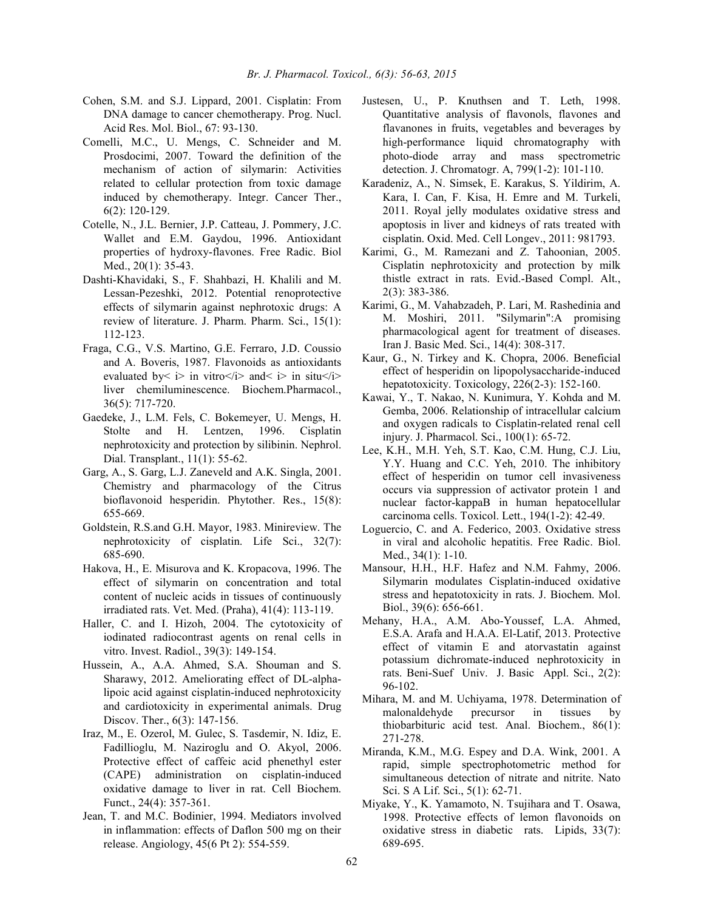- Cohen, S.M. and S.J. Lippard, 2001. Cisplatin: From DNA damage to cancer chemotherapy. Prog. Nucl. Acid Res. Mol. Biol., 67: 93-130.
- Comelli, M.C., U. Mengs, C. Schneider and M. Prosdocimi, 2007. Toward the definition of the mechanism of action of silymarin: Activities related to cellular protection from toxic damage induced by chemotherapy. Integr. Cancer Ther., 6(2): 120-129.
- Cotelle, N., J.L. Bernier, J.P. Catteau, J. Pommery, J.C. Wallet and E.M. Gaydou, 1996. Antioxidant properties of hydroxy-flavones. Free Radic. Biol Med., 20(1): 35-43.
- Dashti-Khavidaki, S., F. Shahbazi, H. Khalili and M. Lessan-Pezeshki, 2012. Potential renoprotective effects of silymarin against nephrotoxic drugs: A review of literature. J. Pharm. Pharm. Sci., 15(1): 112-123.
- Fraga, C.G., V.S. Martino, G.E. Ferraro, J.D. Coussio and A. Boveris, 1987. Flavonoids as antioxidants evaluated by<  $i$  in vitro </i > and <  $i$  in situ </i > liver chemiluminescence. Biochem.Pharmacol., 36(5): 717-720.
- Gaedeke, J., L.M. Fels, C. Bokemeyer, U. Mengs, H. Stolte and H. Lentzen, 1996. Cisplatin nephrotoxicity and protection by silibinin. Nephrol. Dial. Transplant.,  $11(1)$ : 55-62.
- Garg, A., S. Garg, L.J. Zaneveld and A.K. Singla, 2001. Chemistry and pharmacology of the Citrus bioflavonoid hesperidin. Phytother. Res., 15(8): 655669.
- Goldstein, R.S.and G.H. Mayor, 1983. Minireview. The nephrotoxicity of cisplatin. Life Sci., 32(7): 685690.
- Hakova, H., E. Misurova and K. Kropacova, 1996. The effect of silymarin on concentration and total content of nucleic acids in tissues of continuously irradiated rats. Vet. Med. (Praha), 41(4): 113-119.
- Haller, C. and I. Hizoh, 2004. The cytotoxicity of iodinated radiocontrast agents on renal cells in vitro. Invest. Radiol., 39(3): 149-154.
- Hussein, A., A.A. Ahmed, S.A. Shouman and S. Sharawy, 2012. Ameliorating effect of DL-alphalipoic acid against cisplatin-induced nephrotoxicity and cardiotoxicity in experimental animals. Drug Discov. Ther., 6(3): 147-156.
- Iraz, M., E. Ozerol, M. Gulec, S. Tasdemir, N. Idiz, E. Fadillioglu, M. Naziroglu and O. Akyol, 2006. Protective effect of caffeic acid phenethyl ester (CAPE) administration on cisplatin-induced oxidative damage to liver in rat. Cell Biochem. Funct., 24(4): 357-361.
- Jean, T. and M.C. Bodinier, 1994. Mediators involved in inflammation: effects of Daflon 500 mg on their release. Angiology, 45(6 Pt 2): 554-559.
- Justesen, U., P. Knuthsen and T. Leth, 1998. Quantitative analysis of flavonols, flavones and flavanones in fruits, vegetables and beverages by high-performance liquid chromatography with photo-diode array and mass spectrometric detection. J. Chromatogr. A, 799(1-2): 101-110.
- Karadeniz, A., N. Simsek, E. Karakus, S. Yildirim, A. Kara, I. Can, F. Kisa, H. Emre and M. Turkeli, 2011. Royal jelly modulates oxidative stress and apoptosis in liver and kidneys of rats treated with cisplatin. Oxid. Med. Cell Longev., 2011: 981793.
- Karimi, G., M. Ramezani and Z. Tahoonian, 2005. Cisplatin nephrotoxicity and protection by milk thistle extract in rats. Evid.-Based Compl. Alt.,  $2(3)$ : 383-386.
- Karimi, G., M. Vahabzadeh, P. Lari, M. Rashedinia and M. Moshiri, 2011. "Silymarin":A promising pharmacological agent for treatment of diseases. Iran J. Basic Med. Sci., 14(4): 308-317.
- Kaur, G., N. Tirkey and K. Chopra, 2006. Beneficial effect of hesperidin on lipopolysaccharide-induced hepatotoxicity. Toxicology, 226(2-3): 152-160.
- Kawai, Y., T. Nakao, N. Kunimura, Y. Kohda and M. Gemba, 2006. Relationship of intracellular calcium and oxygen radicals to Cisplatin-related renal cell injury. J. Pharmacol. Sci., 100(1): 65-72.
- Lee, K.H., M.H. Yeh, S.T. Kao, C.M. Hung, C.J. Liu, Y.Y. Huang and C.C. Yeh, 2010. The inhibitory effect of hesperidin on tumor cell invasiveness occurs via suppression of activator protein 1 and nuclear factor-kappaB in human hepatocellular carcinoma cells. Toxicol. Lett.,  $194(1-2)$ :  $42-49$ .
- Loguercio, C. and A. Federico, 2003. Oxidative stress in viral and alcoholic hepatitis. Free Radic. Biol. Med.,  $34(1)$ : 1-10.
- Mansour, H.H., H.F. Hafez and N.M. Fahmy, 2006. Silymarin modulates Cisplatin-induced oxidative stress and hepatotoxicity in rats. J. Biochem. Mol. Biol., 39(6): 656-661.
- Mehany, H.A., A.M. Abo-Youssef, L.A. Ahmed, E.S.A. Arafa and H.A.A. El-Latif, 2013. Protective effect of vitamin E and atorvastatin against potassium dichromate-induced nephrotoxicity in rats. Beni-Suef Univ. J. Basic Appl. Sci., 2(2): 96102.
- Mihara, M. and M. Uchiyama, 1978. Determination of malonaldehyde precursor in tissues by thiobarbituric acid test. Anal. Biochem., 86(1): 271-278.
- Miranda, K.M., M.G. Espey and D.A. Wink, 2001. A rapid, simple spectrophotometric method for simultaneous detection of nitrate and nitrite. Nato Sci. S A Lif. Sci., 5(1): 62-71.
- Miyake, Y., K. Yamamoto, N. Tsujihara and T. Osawa, 1998. Protective effects of lemon flavonoids on oxidative stress in diabetic rats. Lipids, 33(7): 689695.